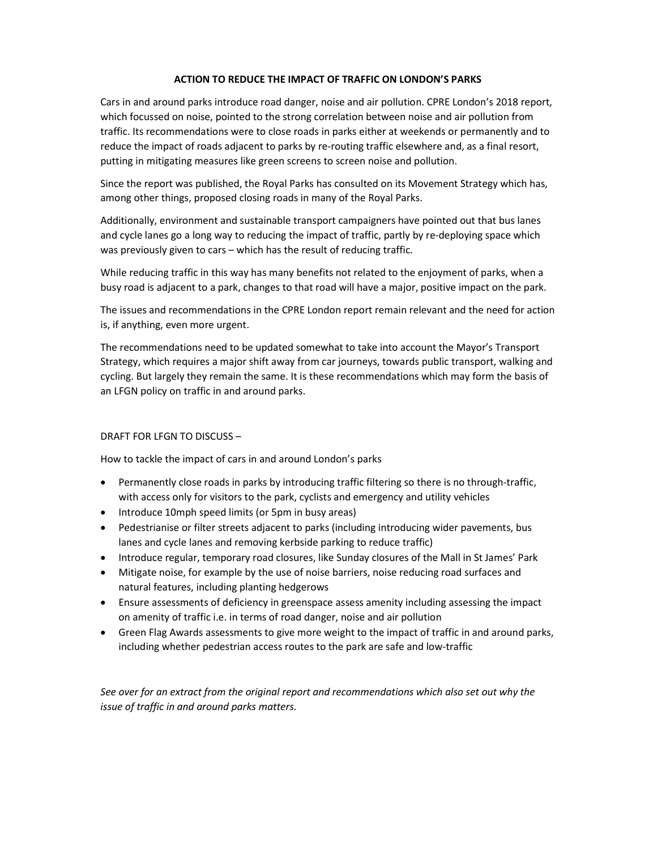### ACTION TO REDUCE THE IMPACT OF TRAFFIC ON LONDON'S PARKS

Cars in and around parks introduce road danger, noise and air pollution. CPRE London's 2018 report, which focussed on noise, pointed to the strong correlation between noise and air pollution from traffic. Its recommendations were to close roads in parks either at weekends or permanently and to reduce the impact of roads adjacent to parks by re-routing traffic elsewhere and, as a final resort, putting in mitigating measures like green screens to screen noise and pollution.

Since the report was published, the Royal Parks has consulted on its Movement Strategy which has, among other things, proposed closing roads in many of the Royal Parks.

Additionally, environment and sustainable transport campaigners have pointed out that bus lanes and cycle lanes go a long way to reducing the impact of traffic, partly by re-deploying space which was previously given to cars – which has the result of reducing traffic.

While reducing traffic in this way has many benefits not related to the enjoyment of parks, when a busy road is adjacent to a park, changes to that road will have a major, positive impact on the park.

The issues and recommendations in the CPRE London report remain relevant and the need for action is, if anything, even more urgent.

The recommendations need to be updated somewhat to take into account the Mayor's Transport Strategy, which requires a major shift away from car journeys, towards public transport, walking and cycling. But largely they remain the same. It is these recommendations which may form the basis of an LFGN policy on traffic in and around parks.

# DRAFT FOR LFGN TO DISCUSS –

How to tackle the impact of cars in and around London's parks

- Permanently close roads in parks by introducing traffic filtering so there is no through-traffic, with access only for visitors to the park, cyclists and emergency and utility vehicles
- Introduce 10mph speed limits (or 5pm in busy areas)
- Pedestrianise or filter streets adjacent to parks (including introducing wider pavements, bus lanes and cycle lanes and removing kerbside parking to reduce traffic)
- Introduce regular, temporary road closures, like Sunday closures of the Mall in St James' Park
- Mitigate noise, for example by the use of noise barriers, noise reducing road surfaces and natural features, including planting hedgerows
- Ensure assessments of deficiency in greenspace assess amenity including assessing the impact on amenity of traffic i.e. in terms of road danger, noise and air pollution
- Green Flag Awards assessments to give more weight to the impact of traffic in and around parks, including whether pedestrian access routes to the park are safe and low-traffic

See over for an extract from the original report and recommendations which also set out why the issue of traffic in and around parks matters.